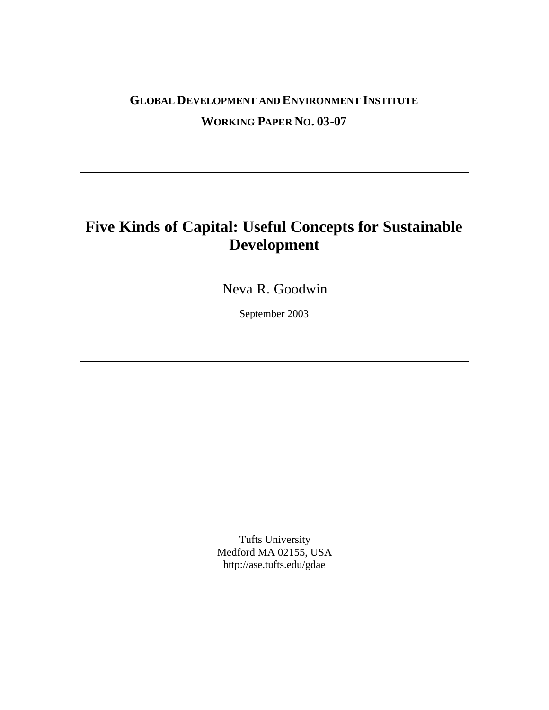## **GLOBAL DEVELOPMENT AND ENVIRONMENT INSTITUTE WORKING PAPER NO. 03-07**

# **Five Kinds of Capital: Useful Concepts for Sustainable Development**

Neva R. Goodwin

September 2003

Tufts University Medford MA 02155, USA http://ase.tufts.edu/gdae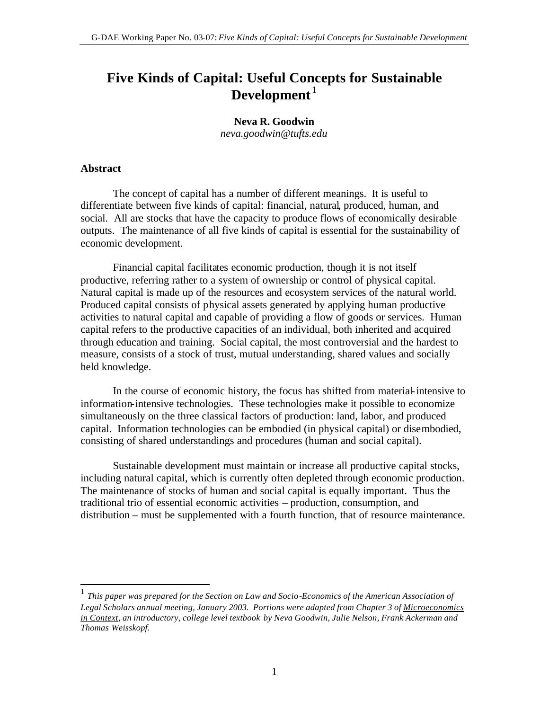## **Five Kinds of Capital: Useful Concepts for Sustainable**  Development<sup>1</sup>

**Neva R. Goodwin**  *neva.goodwin@tufts.edu*

#### **Abstract**

 $\overline{a}$ 

The concept of capital has a number of different meanings.It is useful to differentiate between five kinds of capital: financial, natural, produced, human, and social. All are stocks that have the capacity to produce flows of economically desirable outputs. The maintenance of all five kinds of capital is essential for the sustainability of economic development.

Financial capital facilitates economic production, though it is not itself productive, referring rather to a system of ownership or control of physical capital. Natural capital is made up of the resources and ecosystem services of the natural world. Produced capital consists of physical assets generated by applying human productive activities to natural capital and capable of providing a flow of goods or services. Human capital refers to the productive capacities of an individual, both inherited and acquired through education and training. Social capital, the most controversial and the hardest to measure, consists of a stock of trust, mutual understanding, shared values and socially held knowledge.

In the course of economic history, the focus has shifted from material-intensive to information-intensive technologies. These technologies make it possible to economize simultaneously on the three classical factors of production: land, labor, and produced capital. Information technologies can be embodied (in physical capital) or disembodied, consisting of shared understandings and procedures (human and social capital).

Sustainable development must maintain or increase all productive capital stocks, including natural capital, which is currently often depleted through economic production. The maintenance of stocks of human and social capital is equally important. Thus the traditional trio of essential economic activities – production, consumption, and distribution – must be supplemented with a fourth function, that of resource maintenance.

<sup>&</sup>lt;sup>1</sup> This paper was prepared for the Section on Law and Socio-Economics of the American Association of *Legal Scholars annual meeting, January 2003. Portions were adapted from Chapter 3 of Microeconomics in Context, an introductory, college level textbook by Neva Goodwin, Julie Nelson, Frank Ackerman and Thomas Weisskopf.*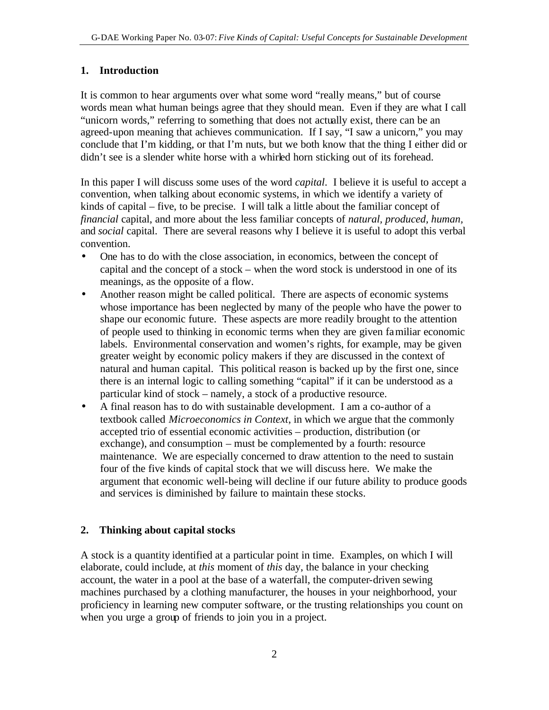#### **1. Introduction**

It is common to hear arguments over what some word "really means," but of course words mean what human beings agree that they should mean. Even if they are what I call "unicorn words," referring to something that does not actually exist, there can be an agreed-upon meaning that achieves communication. If I say, "I saw a unicorn," you may conclude that I'm kidding, or that I'm nuts, but we both know that the thing I either did or didn't see is a slender white horse with a whirled horn sticking out of its forehead.

In this paper I will discuss some uses of the word *capital*. I believe it is useful to accept a convention, when talking about economic systems, in which we identify a variety of kinds of capital – five, to be precise. I will talk a little about the familiar concept of *financial* capital, and more about the less familiar concepts of *natural, produced, human,* and *social* capital. There are several reasons why I believe it is useful to adopt this verbal convention.

- One has to do with the close association, in economics, between the concept of capital and the concept of a stock – when the word stock is understood in one of its meanings, as the opposite of a flow.
- Another reason might be called political. There are aspects of economic systems whose importance has been neglected by many of the people who have the power to shape our economic future. These aspects are more readily brought to the attention of people used to thinking in economic terms when they are given familiar economic labels. Environmental conservation and women's rights, for example, may be given greater weight by economic policy makers if they are discussed in the context of natural and human capital. This political reason is backed up by the first one, since there is an internal logic to calling something "capital" if it can be understood as a particular kind of stock – namely, a stock of a productive resource.
- A final reason has to do with sustainable development. I am a co-author of a textbook called *Microeconomics in Context*, in which we argue that the commonly accepted trio of essential economic activities – production, distribution (or exchange), and consumption – must be complemented by a fourth: resource maintenance. We are especially concerned to draw attention to the need to sustain four of the five kinds of capital stock that we will discuss here. We make the argument that economic well-being will decline if our future ability to produce goods and services is diminished by failure to maintain these stocks.

#### **2. Thinking about capital stocks**

A stock is a quantity identified at a particular point in time. Examples, on which I will elaborate, could include, at *this* moment of *this* day, the balance in your checking account, the water in a pool at the base of a waterfall, the computer-driven sewing machines purchased by a clothing manufacturer, the houses in your neighborhood, your proficiency in learning new computer software, or the trusting relationships you count on when you urge a group of friends to join you in a project.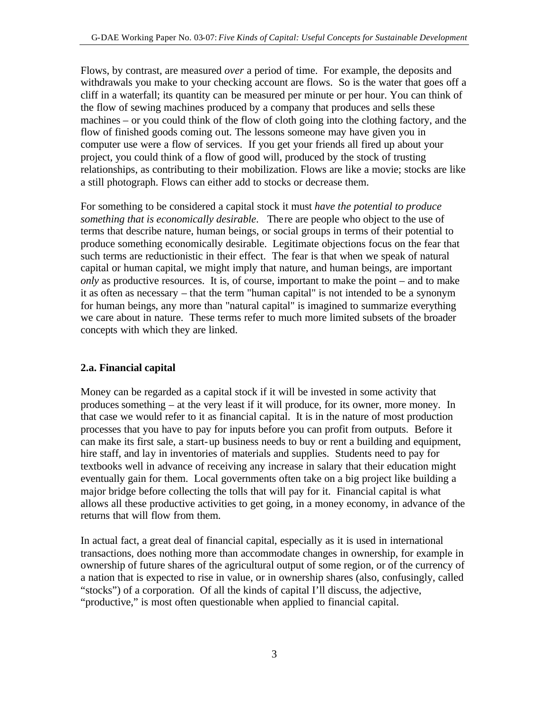Flows, by contrast, are measured *over* a period of time. For example, the deposits and withdrawals you make to your checking account are flows. So is the water that goes off a cliff in a waterfall; its quantity can be measured per minute or per hour. You can think of the flow of sewing machines produced by a company that produces and sells these machines – or you could think of the flow of cloth going into the clothing factory, and the flow of finished goods coming out. The lessons someone may have given you in computer use were a flow of services. If you get your friends all fired up about your project, you could think of a flow of good will, produced by the stock of trusting relationships, as contributing to their mobilization. Flows are like a movie; stocks are like a still photograph. Flows can either add to stocks or decrease them.

For something to be considered a capital stock it must *have the potential to produce something that is economically desirable*. There are people who object to the use of terms that describe nature, human beings, or social groups in terms of their potential to produce something economically desirable. Legitimate objections focus on the fear that such terms are reductionistic in their effect. The fear is that when we speak of natural capital or human capital, we might imply that nature, and human beings, are important *only* as productive resources. It is, of course, important to make the point – and to make it as often as necessary – that the term "human capital" is not intended to be a synonym for human beings, any more than "natural capital" is imagined to summarize everything we care about in nature. These terms refer to much more limited subsets of the broader concepts with which they are linked.

#### **2.a. Financial capital**

Money can be regarded as a capital stock if it will be invested in some activity that produces something – at the very least if it will produce, for its owner, more money. In that case we would refer to it as financial capital. It is in the nature of most production processes that you have to pay for inputs before you can profit from outputs. Before it can make its first sale, a start-up business needs to buy or rent a building and equipment, hire staff, and lay in inventories of materials and supplies. Students need to pay for textbooks well in advance of receiving any increase in salary that their education might eventually gain for them. Local governments often take on a big project like building a major bridge before collecting the tolls that will pay for it. Financial capital is what allows all these productive activities to get going, in a money economy, in advance of the returns that will flow from them.

In actual fact, a great deal of financial capital, especially as it is used in international transactions, does nothing more than accommodate changes in ownership, for example in ownership of future shares of the agricultural output of some region, or of the currency of a nation that is expected to rise in value, or in ownership shares (also, confusingly, called "stocks") of a corporation. Of all the kinds of capital I'll discuss, the adjective, "productive," is most often questionable when applied to financial capital.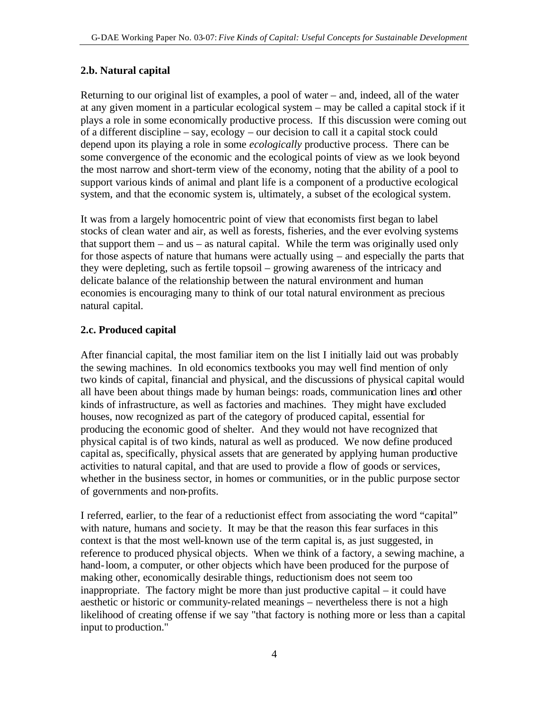#### **2.b. Natural capital**

Returning to our original list of examples, a pool of water – and, indeed, all of the water at any given moment in a particular ecological system – may be called a capital stock if it plays a role in some economically productive process. If this discussion were coming out of a different discipline – say, ecology – our decision to call it a capital stock could depend upon its playing a role in some *ecologically* productive process. There can be some convergence of the economic and the ecological points of view as we look beyond the most narrow and short-term view of the economy, noting that the ability of a pool to support various kinds of animal and plant life is a component of a productive ecological system, and that the economic system is, ultimately, a subset of the ecological system.

It was from a largely homocentric point of view that economists first began to label stocks of clean water and air, as well as forests, fisheries, and the ever evolving systems that support them – and us – as natural capital. While the term was originally used only for those aspects of nature that humans were actually using – and especially the parts that they were depleting, such as fertile topsoil – growing awareness of the intricacy and delicate balance of the relationship between the natural environment and human economies is encouraging many to think of our total natural environment as precious natural capital.

### **2.c. Produced capital**

After financial capital, the most familiar item on the list I initially laid out was probably the sewing machines. In old economics textbooks you may well find mention of only two kinds of capital, financial and physical, and the discussions of physical capital would all have been about things made by human beings: roads, communication lines and other kinds of infrastructure, as well as factories and machines. They might have excluded houses, now recognized as part of the category of produced capital, essential for producing the economic good of shelter. And they would not have recognized that physical capital is of two kinds, natural as well as produced. We now define produced capital as, specifically, physical assets that are generated by applying human productive activities to natural capital, and that are used to provide a flow of goods or services, whether in the business sector, in homes or communities, or in the public purpose sector of governments and non-profits.

I referred, earlier, to the fear of a reductionist effect from associating the word "capital" with nature, humans and society. It may be that the reason this fear surfaces in this context is that the most well-known use of the term capital is, as just suggested, in reference to produced physical objects. When we think of a factory, a sewing machine, a hand-loom, a computer, or other objects which have been produced for the purpose of making other, economically desirable things, reductionism does not seem too inappropriate. The factory might be more than just productive capital – it could have aesthetic or historic or community-related meanings – nevertheless there is not a high likelihood of creating offense if we say "that factory is nothing more or less than a capital input to production."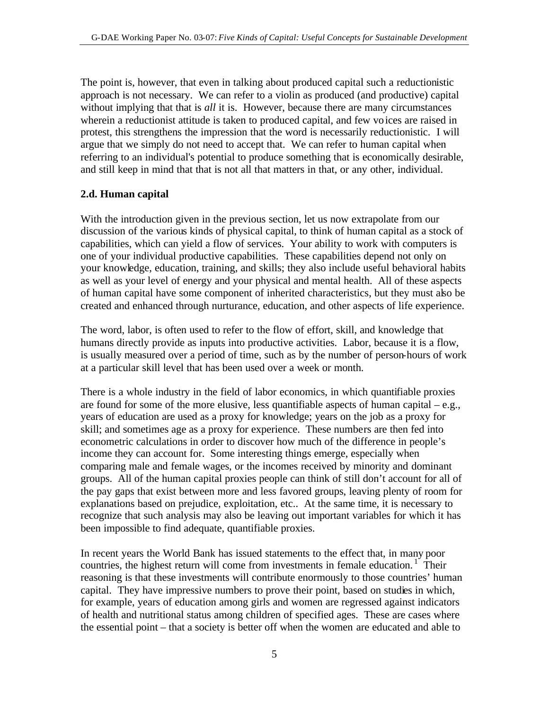The point is, however, that even in talking about produced capital such a reductionistic approach is not necessary. We can refer to a violin as produced (and productive) capital without implying that that is *all* it is. However, because there are many circumstances wherein a reductionist attitude is taken to produced capital, and few voices are raised in protest, this strengthens the impression that the word is necessarily reductionistic. I will argue that we simply do not need to accept that. We can refer to human capital when referring to an individual's potential to produce something that is economically desirable, and still keep in mind that that is not all that matters in that, or any other, individual.

#### **2.d. Human capital**

With the introduction given in the previous section, let us now extrapolate from our discussion of the various kinds of physical capital, to think of human capital as a stock of capabilities, which can yield a flow of services. Your ability to work with computers is one of your individual productive capabilities. These capabilities depend not only on your knowledge, education, training, and skills; they also include useful behavioral habits as well as your level of energy and your physical and mental health. All of these aspects of human capital have some component of inherited characteristics, but they must also be created and enhanced through nurturance, education, and other aspects of life experience.

The word, labor, is often used to refer to the flow of effort, skill, and knowledge that humans directly provide as inputs into productive activities. Labor, because it is a flow, is usually measured over a period of time, such as by the number of person-hours of work at a particular skill level that has been used over a week or month.

There is a whole industry in the field of labor economics, in which quantifiable proxies are found for some of the more elusive, less quantifiable aspects of human capital – e.g., years of education are used as a proxy for knowledge; years on the job as a proxy for skill; and sometimes age as a proxy for experience. These numbers are then fed into econometric calculations in order to discover how much of the difference in people's income they can account for. Some interesting things emerge, especially when comparing male and female wages, or the incomes received by minority and dominant groups. All of the human capital proxies people can think of still don't account for all of the pay gaps that exist between more and less favored groups, leaving plenty of room for explanations based on prejudice, exploitation, etc.. At the same time, it is necessary to recognize that such analysis may also be leaving out important variables for which it has been impossible to find adequate, quantifiable proxies.

In recent years the World Bank has issued statements to the effect that, in many poor countries, the highest return will come from investments in female education.<sup>1</sup> Their reasoning is that these investments will contribute enormously to those countries' human capital. They have impressive numbers to prove their point, based on studies in which, for example, years of education among girls and women are regressed against indicators of health and nutritional status among children of specified ages. These are cases where the essential point – that a society is better off when the women are educated and able to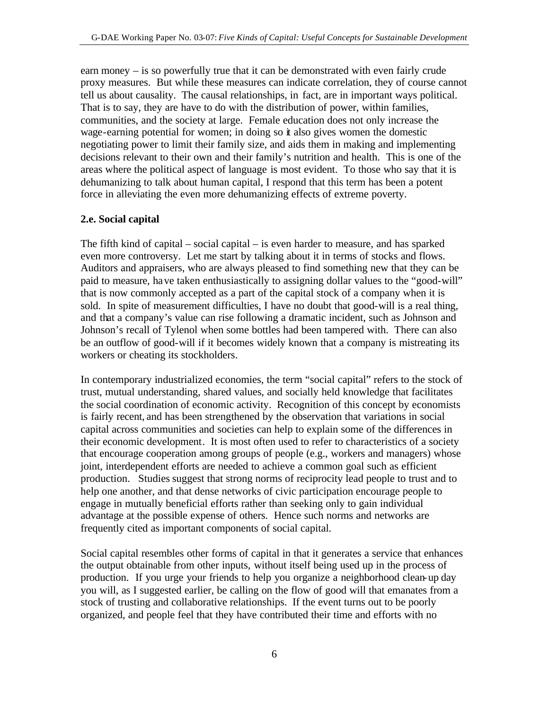earn money – is so powerfully true that it can be demonstrated with even fairly crude proxy measures. But while these measures can indicate correlation, they of course cannot tell us about causality. The causal relationships, in fact, are in important ways political. That is to say, they are have to do with the distribution of power, within families, communities, and the society at large. Female education does not only increase the wage-earning potential for women; in doing so it also gives women the domestic negotiating power to limit their family size, and aids them in making and implementing decisions relevant to their own and their family's nutrition and health. This is one of the areas where the political aspect of language is most evident. To those who say that it is dehumanizing to talk about human capital, I respond that this term has been a potent force in alleviating the even more dehumanizing effects of extreme poverty.

#### **2.e. Social capital**

The fifth kind of capital – social capital – is even harder to measure, and has sparked even more controversy. Let me start by talking about it in terms of stocks and flows. Auditors and appraisers, who are always pleased to find something new that they can be paid to measure, have taken enthusiastically to assigning dollar values to the "good-will" that is now commonly accepted as a part of the capital stock of a company when it is sold. In spite of measurement difficulties, I have no doubt that good-will is a real thing, and that a company's value can rise following a dramatic incident, such as Johnson and Johnson's recall of Tylenol when some bottles had been tampered with. There can also be an outflow of good-will if it becomes widely known that a company is mistreating its workers or cheating its stockholders.

In contemporary industrialized economies, the term "social capital" refers to the stock of trust, mutual understanding, shared values, and socially held knowledge that facilitates the social coordination of economic activity. Recognition of this concept by economists is fairly recent, and has been strengthened by the observation that variations in social capital across communities and societies can help to explain some of the differences in their economic development. It is most often used to refer to characteristics of a society that encourage cooperation among groups of people (e.g., workers and managers) whose joint, interdependent efforts are needed to achieve a common goal such as efficient production. Studies suggest that strong norms of reciprocity lead people to trust and to help one another, and that dense networks of civic participation encourage people to engage in mutually beneficial efforts rather than seeking only to gain individual advantage at the possible expense of others. Hence such norms and networks are frequently cited as important components of social capital.

Social capital resembles other forms of capital in that it generates a service that enhances the output obtainable from other inputs, without itself being used up in the process of production. If you urge your friends to help you organize a neighborhood clean-up day you will, as I suggested earlier, be calling on the flow of good will that emanates from a stock of trusting and collaborative relationships. If the event turns out to be poorly organized, and people feel that they have contributed their time and efforts with no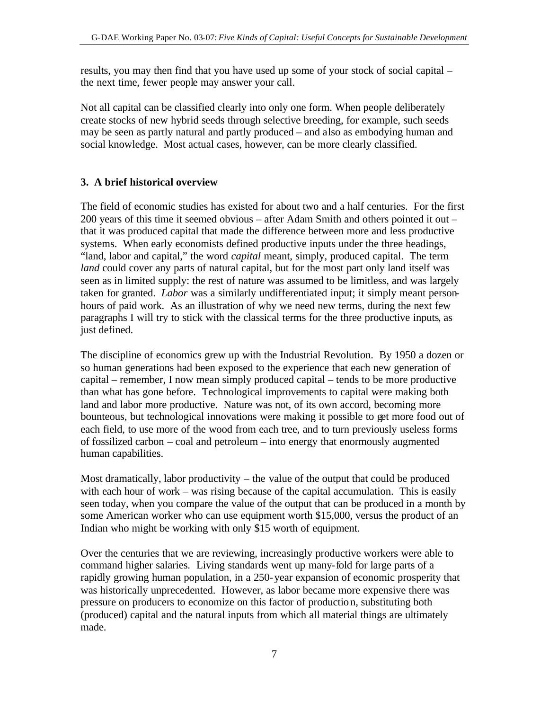results, you may then find that you have used up some of your stock of social capital – the next time, fewer people may answer your call.

Not all capital can be classified clearly into only one form. When people deliberately create stocks of new hybrid seeds through selective breeding, for example, such seeds may be seen as partly natural and partly produced – and also as embodying human and social knowledge. Most actual cases, however, can be more clearly classified.

### **3. A brief historical overview**

The field of economic studies has existed for about two and a half centuries. For the first 200 years of this time it seemed obvious – after Adam Smith and others pointed it out – that it was produced capital that made the difference between more and less productive systems. When early economists defined productive inputs under the three headings, "land, labor and capital," the word *capital* meant, simply, produced capital. The term *land* could cover any parts of natural capital, but for the most part only land itself was seen as in limited supply: the rest of nature was assumed to be limitless, and was largely taken for granted. *Labor* was a similarly undifferentiated input; it simply meant personhours of paid work. As an illustration of why we need new terms, during the next few paragraphs I will try to stick with the classical terms for the three productive inputs, as just defined.

The discipline of economics grew up with the Industrial Revolution. By 1950 a dozen or so human generations had been exposed to the experience that each new generation of capital – remember, I now mean simply produced capital – tends to be more productive than what has gone before. Technological improvements to capital were making both land and labor more productive. Nature was not, of its own accord, becoming more bounteous, but technological innovations were making it possible to get more food out of each field, to use more of the wood from each tree, and to turn previously useless forms of fossilized carbon – coal and petroleum – into energy that enormously augmented human capabilities.

Most dramatically, labor productivity – the value of the output that could be produced with each hour of work – was rising because of the capital accumulation. This is easily seen today, when you compare the value of the output that can be produced in a month by some American worker who can use equipment worth \$15,000, versus the product of an Indian who might be working with only \$15 worth of equipment.

Over the centuries that we are reviewing, increasingly productive workers were able to command higher salaries. Living standards went up many-fold for large parts of a rapidly growing human population, in a 250-year expansion of economic prosperity that was historically unprecedented. However, as labor became more expensive there was pressure on producers to economize on this factor of production, substituting both (produced) capital and the natural inputs from which all material things are ultimately made.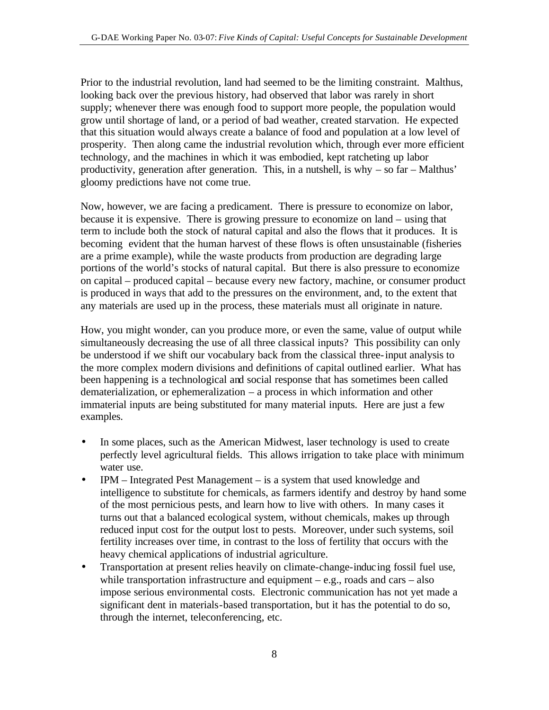Prior to the industrial revolution, land had seemed to be the limiting constraint. Malthus, looking back over the previous history, had observed that labor was rarely in short supply; whenever there was enough food to support more people, the population would grow until shortage of land, or a period of bad weather, created starvation. He expected that this situation would always create a balance of food and population at a low level of prosperity. Then along came the industrial revolution which, through ever more efficient technology, and the machines in which it was embodied, kept ratcheting up labor productivity, generation after generation. This, in a nutshell, is why – so far – Malthus' gloomy predictions have not come true.

Now, however, we are facing a predicament. There is pressure to economize on labor, because it is expensive. There is growing pressure to economize on land – using that term to include both the stock of natural capital and also the flows that it produces. It is becoming evident that the human harvest of these flows is often unsustainable (fisheries are a prime example), while the waste products from production are degrading large portions of the world's stocks of natural capital. But there is also pressure to economize on capital – produced capital – because every new factory, machine, or consumer product is produced in ways that add to the pressures on the environment, and, to the extent that any materials are used up in the process, these materials must all originate in nature.

How, you might wonder, can you produce more, or even the same, value of output while simultaneously decreasing the use of all three classical inputs? This possibility can only be understood if we shift our vocabulary back from the classical three-input analysis to the more complex modern divisions and definitions of capital outlined earlier. What has been happening is a technological and social response that has sometimes been called dematerialization, or ephemeralization – a process in which information and other immaterial inputs are being substituted for many material inputs. Here are just a few examples.

- In some places, such as the American Midwest, laser technology is used to create perfectly level agricultural fields. This allows irrigation to take place with minimum water use.
- IPM Integrated Pest Management is a system that used knowledge and intelligence to substitute for chemicals, as farmers identify and destroy by hand some of the most pernicious pests, and learn how to live with others. In many cases it turns out that a balanced ecological system, without chemicals, makes up through reduced input cost for the output lost to pests. Moreover, under such systems, soil fertility increases over time, in contrast to the loss of fertility that occurs with the heavy chemical applications of industrial agriculture.
- Transportation at present relies heavily on climate-change-inducing fossil fuel use, while transportation infrastructure and equipment  $-e.g.,$  roads and cars  $-\text{ also}$ impose serious environmental costs. Electronic communication has not yet made a significant dent in materials-based transportation, but it has the potential to do so, through the internet, teleconferencing, etc.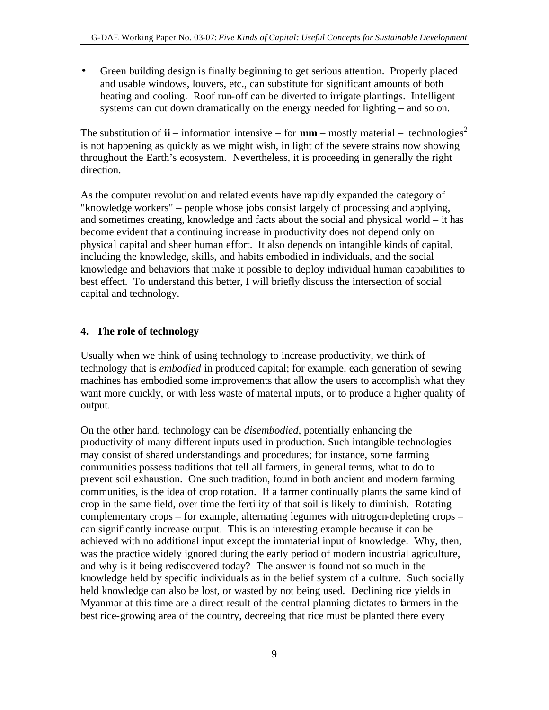• Green building design is finally beginning to get serious attention. Properly placed and usable windows, louvers, etc., can substitute for significant amounts of both heating and cooling. Roof run-off can be diverted to irrigate plantings. Intelligent systems can cut down dramatically on the energy needed for lighting – and so on.

The substitution of  $\mathbf{ii}$  – information intensive – for  $\mathbf{mm}$  – mostly material – technologies<sup>2</sup> is not happening as quickly as we might wish, in light of the severe strains now showing throughout the Earth's ecosystem. Nevertheless, it is proceeding in generally the right direction.

As the computer revolution and related events have rapidly expanded the category of "knowledge workers" – people whose jobs consist largely of processing and applying, and sometimes creating, knowledge and facts about the social and physical world – it has become evident that a continuing increase in productivity does not depend only on physical capital and sheer human effort. It also depends on intangible kinds of capital, including the knowledge, skills, and habits embodied in individuals, and the social knowledge and behaviors that make it possible to deploy individual human capabilities to best effect. To understand this better, I will briefly discuss the intersection of social capital and technology.

#### **4. The role of technology**

Usually when we think of using technology to increase productivity, we think of technology that is *embodied* in produced capital; for example, each generation of sewing machines has embodied some improvements that allow the users to accomplish what they want more quickly, or with less waste of material inputs, or to produce a higher quality of output.

On the other hand, technology can be *disembodied,* potentially enhancing the productivity of many different inputs used in production. Such intangible technologies may consist of shared understandings and procedures; for instance, some farming communities possess traditions that tell all farmers, in general terms, what to do to prevent soil exhaustion. One such tradition, found in both ancient and modern farming communities, is the idea of crop rotation. If a farmer continually plants the same kind of crop in the same field, over time the fertility of that soil is likely to diminish. Rotating complementary crops – for example, alternating legumes with nitrogen-depleting crops – can significantly increase output. This is an interesting example because it can be achieved with no additional input except the immaterial input of knowledge. Why, then, was the practice widely ignored during the early period of modern industrial agriculture, and why is it being rediscovered today? The answer is found not so much in the knowledge held by specific individuals as in the belief system of a culture. Such socially held knowledge can also be lost, or wasted by not being used. Declining rice yields in Myanmar at this time are a direct result of the central planning dictates to farmers in the best rice-growing area of the country, decreeing that rice must be planted there every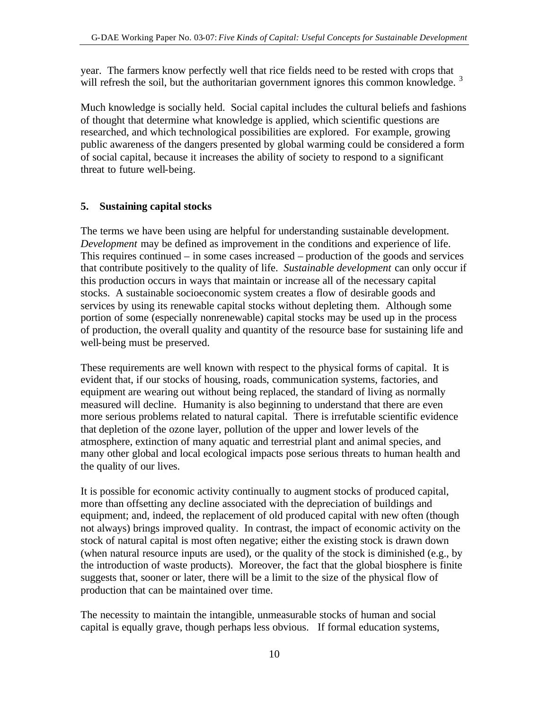year. The farmers know perfectly well that rice fields need to be rested with crops that will refresh the soil, but the authoritarian government ignores this common knowledge.<sup>3</sup>

Much knowledge is socially held. Social capital includes the cultural beliefs and fashions of thought that determine what knowledge is applied, which scientific questions are researched, and which technological possibilities are explored. For example, growing public awareness of the dangers presented by global warming could be considered a form of social capital, because it increases the ability of society to respond to a significant threat to future well-being.

#### **5. Sustaining capital stocks**

The terms we have been using are helpful for understanding sustainable development. *Development* may be defined as improvement in the conditions and experience of life. This requires continued – in some cases increased – production of the goods and services that contribute positively to the quality of life. *Sustainable development* can only occur if this production occurs in ways that maintain or increase all of the necessary capital stocks. A sustainable socioeconomic system creates a flow of desirable goods and services by using its renewable capital stocks without depleting them. Although some portion of some (especially nonrenewable) capital stocks may be used up in the process of production, the overall quality and quantity of the resource base for sustaining life and well-being must be preserved.

These requirements are well known with respect to the physical forms of capital. It is evident that, if our stocks of housing, roads, communication systems, factories, and equipment are wearing out without being replaced, the standard of living as normally measured will decline. Humanity is also beginning to understand that there are even more serious problems related to natural capital. There is irrefutable scientific evidence that depletion of the ozone layer, pollution of the upper and lower levels of the atmosphere, extinction of many aquatic and terrestrial plant and animal species, and many other global and local ecological impacts pose serious threats to human health and the quality of our lives.

It is possible for economic activity continually to augment stocks of produced capital, more than offsetting any decline associated with the depreciation of buildings and equipment; and, indeed, the replacement of old produced capital with new often (though not always) brings improved quality. In contrast, the impact of economic activity on the stock of natural capital is most often negative; either the existing stock is drawn down (when natural resource inputs are used), or the quality of the stock is diminished (e.g., by the introduction of waste products). Moreover, the fact that the global biosphere is finite suggests that, sooner or later, there will be a limit to the size of the physical flow of production that can be maintained over time.

The necessity to maintain the intangible, unmeasurable stocks of human and social capital is equally grave, though perhaps less obvious. If formal education systems,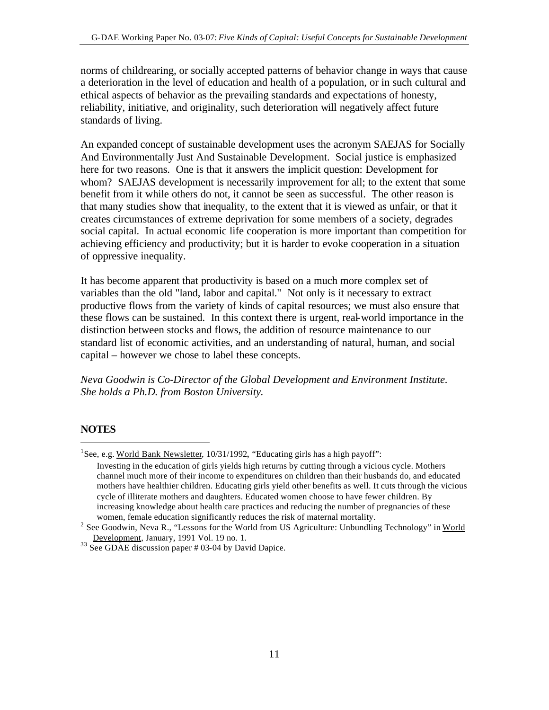norms of childrearing, or socially accepted patterns of behavior change in ways that cause a deterioration in the level of education and health of a population, or in such cultural and ethical aspects of behavior as the prevailing standards and expectations of honesty, reliability, initiative, and originality, such deterioration will negatively affect future standards of living.

An expanded concept of sustainable development uses the acronym SAEJAS for Socially And Environmentally Just And Sustainable Development. Social justice is emphasized here for two reasons. One is that it answers the implicit question: Development for whom? SAEJAS development is necessarily improvement for all; to the extent that some benefit from it while others do not, it cannot be seen as successful. The other reason is that many studies show that inequality, to the extent that it is viewed as unfair, or that it creates circumstances of extreme deprivation for some members of a society, degrades social capital. In actual economic life cooperation is more important than competition for achieving efficiency and productivity; but it is harder to evoke cooperation in a situation of oppressive inequality.

It has become apparent that productivity is based on a much more complex set of variables than the old "land, labor and capital." Not only is it necessary to extract productive flows from the variety of kinds of capital resources; we must also ensure that these flows can be sustained. In this context there is urgent, real-world importance in the distinction between stocks and flows, the addition of resource maintenance to our standard list of economic activities, and an understanding of natural, human, and social capital – however we chose to label these concepts.

*Neva Goodwin is Co-Director of the Global Development and Environment Institute. She holds a Ph.D. from Boston University.*

#### **NOTES**

 $\overline{a}$ 

<sup>1</sup>See, e.g. World Bank Newsletter, 10/31/1992, "Educating girls has a high payoff":

Investing in the education of girls yields high returns by cutting through a vicious cycle. Mothers channel much more of their income to expenditures on children than their husbands do, and educated mothers have healthier children. Educating girls yield other benefits as well. It cuts through the vicious cycle of illiterate mothers and daughters. Educated women choose to have fewer children. By increasing knowledge about health care practices and reducing the number of pregnancies of these women, female education significantly reduces the risk of maternal mortality.

<sup>&</sup>lt;sup>2</sup> See Goodwin, Neva R., "Lessons for the World from US Agriculture: Unbundling Technology" in World Development, January, 1991 Vol. 19 no. 1.

<sup>&</sup>lt;sup>33</sup> See GDAE discussion paper # 03-04 by David Dapice.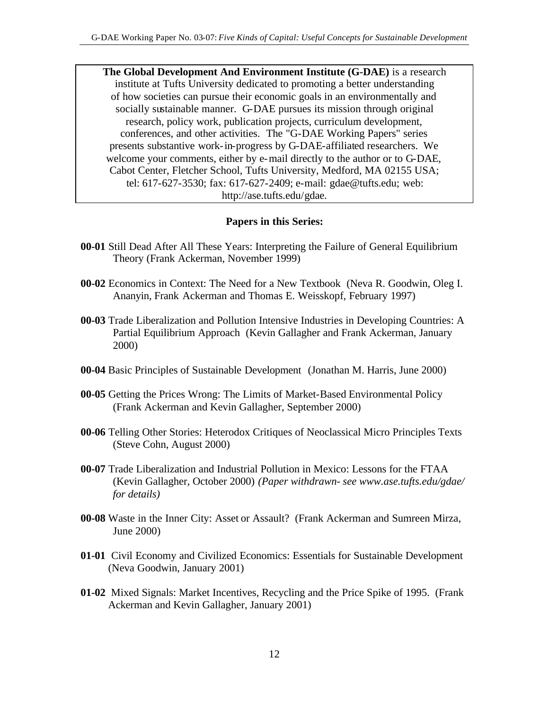**The Global Development And Environment Institute (G-DAE)** is a research institute at Tufts University dedicated to promoting a better understanding of how societies can pursue their economic goals in an environmentally and socially sustainable manner. G-DAE pursues its mission through original research, policy work, publication projects, curriculum development, conferences, and other activities. The "G-DAE Working Papers" series presents substantive work-in-progress by G-DAE-affiliated researchers. We welcome your comments, either by e-mail directly to the author or to G-DAE, Cabot Center, Fletcher School, Tufts University, Medford, MA 02155 USA; tel: 617-627-3530; fax: 617-627-2409; e-mail: gdae@tufts.edu; web: http://ase.tufts.edu/gdae.

#### **Papers in this Series:**

- **00-01** Still Dead After All These Years: Interpreting the Failure of General Equilibrium Theory (Frank Ackerman, November 1999)
- **00-02** Economics in Context: The Need for a New Textbook (Neva R. Goodwin, Oleg I. Ananyin, Frank Ackerman and Thomas E. Weisskopf, February 1997)
- **00-03** Trade Liberalization and Pollution Intensive Industries in Developing Countries: A Partial Equilibrium Approach (Kevin Gallagher and Frank Ackerman, January 2000)
- **00-04** Basic Principles of Sustainable Development(Jonathan M. Harris, June 2000)
- **00-05** Getting the Prices Wrong: The Limits of Market-Based Environmental Policy (Frank Ackerman and Kevin Gallagher, September 2000)
- **00-06** Telling Other Stories: Heterodox Critiques of Neoclassical Micro Principles Texts (Steve Cohn, August 2000)
- **00-07** Trade Liberalization and Industrial Pollution in Mexico: Lessons for the FTAA (Kevin Gallagher, October 2000) *(Paper withdrawn- see www.ase.tufts.edu/gdae/ for details)*
- **00-08** Waste in the Inner City: Asset or Assault? (Frank Ackerman and Sumreen Mirza, June 2000)
- **01-01** Civil Economy and Civilized Economics: Essentials for Sustainable Development (Neva Goodwin, January 2001)
- **01-02** Mixed Signals: Market Incentives, Recycling and the Price Spike of 1995. (Frank Ackerman and Kevin Gallagher, January 2001)